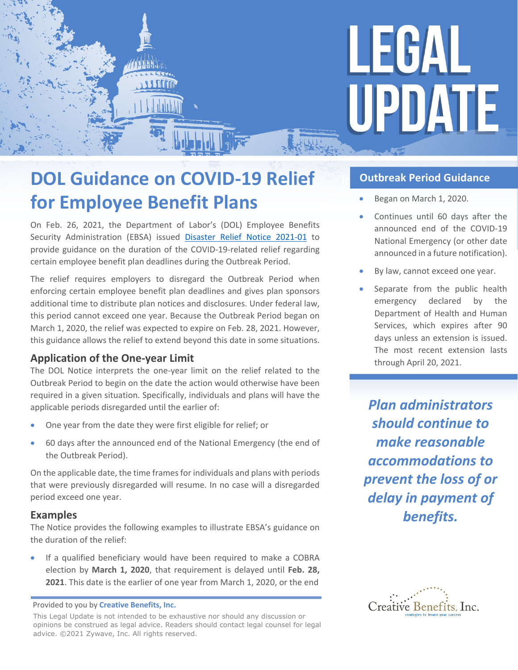

# **DOL Guidance on COVID-19 Relief for Employee Benefit Plans**

**ADELLE** 

**SYLOPPE** 

On Feb. 26, 2021, the Department of Labor's (DOL) Employee Benefits Security Administration (EBSA) issued [Disaster Relief Notice 2021-01](https://www.dol.gov/agencies/ebsa/employers-and-advisers/plan-administration-and-compliance/disaster-relief/ebsa-disaster-relief-notice-2021-01) to provide guidance on the duration of the COVID-19-related relief regarding certain employee benefit plan deadlines during the Outbreak Period.

The relief requires employers to disregard the Outbreak Period when enforcing certain employee benefit plan deadlines and gives plan sponsors additional time to distribute plan notices and disclosures. Under federal law, this period cannot exceed one year. Because the Outbreak Period began on March 1, 2020, the relief was expected to expire on Feb. 28, 2021. However, this guidance allows the relief to extend beyond this date in some situations.

## **Application of the One-year Limit**

The DOL Notice interprets the one-year limit on the relief related to the Outbreak Period to begin on the date the action would otherwise have been required in a given situation. Specifically, individuals and plans will have the applicable periods disregarded until the earlier of:

- One year from the date they were first eligible for relief; or
- 60 days after the announced end of the National Emergency (the end of the Outbreak Period).

On the applicable date, the time frames for individuals and plans with periods that were previously disregarded will resume. In no case will a disregarded period exceed one year.

### **Examples**

The Notice provides the following examples to illustrate EBSA's guidance on the duration of the relief:

• If a qualified beneficiary would have been required to make a COBRA election by **March 1, 2020**, that requirement is delayed until **Feb. 28, 2021**. This date is the earlier of one year from March 1, 2020, or the end

This Legal Update is not intended to be exhaustive nor should any discussion or opinions be construed as legal advice. Readers should contact legal counsel for legal advice. ©2021 Zywave, Inc. All rights reserved.

## *<u><b>Outbreak Period Guidance</u>*

- Began on March 1, 2020.
- Continues until 60 days after the announced end of the COVID-19 National Emergency (or other date announced in a future notification).
- By law, cannot exceed one year.
- Separate from the public health emergency declared by the Department of Health and Human Services, which expires after 90 days unless an extension is issued. The most recent extension lasts through April 20, 2021.

*Plan administrators should continue to make reasonable accommodations to prevent the loss of or delay in payment of benefits.* 



Provided to you by **Creative Benefits, Inc.**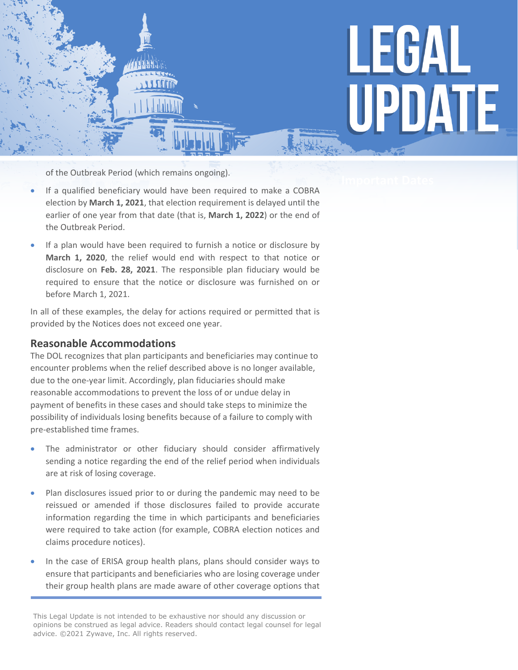

of the Outbreak Period (which remains ongoing).

- If a qualified beneficiary would have been required to make a COBRA election by **March 1, 2021**, that election requirement is delayed until the earlier of one year from that date (that is, **March 1, 2022**) or the end of the Outbreak Period.
- If a plan would have been required to furnish a notice or disclosure by **March 1, 2020**, the relief would end with respect to that notice or disclosure on **Feb. 28, 2021**. The responsible plan fiduciary would be required to ensure that the notice or disclosure was furnished on or before March 1, 2021.

In all of these examples, the delay for actions required or permitted that is provided by the Notices does not exceed one year.

#### **Reasonable Accommodations**

The DOL recognizes that plan participants and beneficiaries may continue to encounter problems when the relief described above is no longer available, due to the one-year limit. Accordingly, plan fiduciaries should make reasonable accommodations to prevent the loss of or undue delay in payment of benefits in these cases and should take steps to minimize the possibility of individuals losing benefits because of a failure to comply with pre-established time frames.

- The administrator or other fiduciary should consider affirmatively sending a notice regarding the end of the relief period when individuals are at risk of losing coverage.
- Plan disclosures issued prior to or during the pandemic may need to be reissued or amended if those disclosures failed to provide accurate information regarding the time in which participants and beneficiaries were required to take action (for example, COBRA election notices and claims procedure notices).
- In the case of ERISA group health plans, plans should consider ways to ensure that participants and beneficiaries who are losing coverage under their group health plans are made aware of other coverage options that

This Legal Update is not intended to be exhaustive nor should any discussion or opinions be construed as legal advice. Readers should contact legal counsel for legal advice. ©2021 Zywave, Inc. All rights reserved.